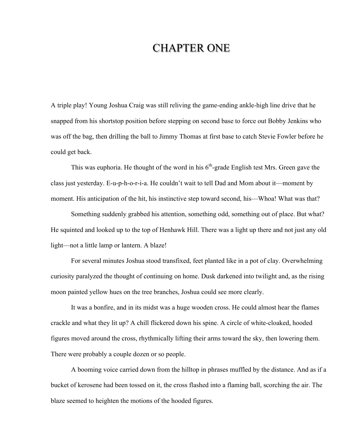## CHAPTER ONE

A triple play! Young Joshua Craig was still reliving the game-ending ankle-high line drive that he snapped from his shortstop position before stepping on second base to force out Bobby Jenkins who was off the bag, then drilling the ball to Jimmy Thomas at first base to catch Stevie Fowler before he could get back.

This was euphoria. He thought of the word in his  $6<sup>th</sup>$ -grade English test Mrs. Green gave the class just yesterday. E-u-p-h-o-r-i-a. He couldn't wait to tell Dad and Mom about it—moment by moment. His anticipation of the hit, his instinctive step toward second, his—Whoa! What was that?

Something suddenly grabbed his attention, something odd, something out of place. But what? He squinted and looked up to the top of Henhawk Hill. There was a light up there and not just any old light—not a little lamp or lantern. A blaze!

For several minutes Joshua stood transfixed, feet planted like in a pot of clay. Overwhelming curiosity paralyzed the thought of continuing on home. Dusk darkened into twilight and, as the rising moon painted yellow hues on the tree branches, Joshua could see more clearly.

It was a bonfire, and in its midst was a huge wooden cross. He could almost hear the flames crackle and what they lit up? A chill flickered down his spine. A circle of white-cloaked, hooded figures moved around the cross, rhythmically lifting their arms toward the sky, then lowering them. There were probably a couple dozen or so people.

A booming voice carried down from the hilltop in phrases muffled by the distance. And as if a bucket of kerosene had been tossed on it, the cross flashed into a flaming ball, scorching the air. The blaze seemed to heighten the motions of the hooded figures.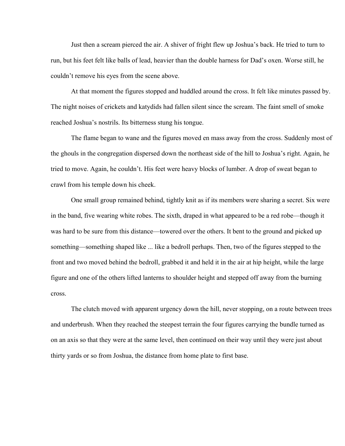Just then a scream pierced the air. A shiver of fright flew up Joshua's back. He tried to turn to run, but his feet felt like balls of lead, heavier than the double harness for Dad's oxen. Worse still, he couldn't remove his eyes from the scene above.

At that moment the figures stopped and huddled around the cross. It felt like minutes passed by. The night noises of crickets and katydids had fallen silent since the scream. The faint smell of smoke reached Joshua's nostrils. Its bitterness stung his tongue.

The flame began to wane and the figures moved en mass away from the cross. Suddenly most of the ghouls in the congregation dispersed down the northeast side of the hill to Joshua's right. Again, he tried to move. Again, he couldn't. His feet were heavy blocks of lumber. A drop of sweat began to crawl from his temple down his cheek.

One small group remained behind, tightly knit as if its members were sharing a secret. Six were in the band, five wearing white robes. The sixth, draped in what appeared to be a red robe—though it was hard to be sure from this distance—towered over the others. It bent to the ground and picked up something—something shaped like ... like a bedroll perhaps. Then, two of the figures stepped to the front and two moved behind the bedroll, grabbed it and held it in the air at hip height, while the large figure and one of the others lifted lanterns to shoulder height and stepped off away from the burning cross.

The clutch moved with apparent urgency down the hill, never stopping, on a route between trees and underbrush. When they reached the steepest terrain the four figures carrying the bundle turned as on an axis so that they were at the same level, then continued on their way until they were just about thirty yards or so from Joshua, the distance from home plate to first base.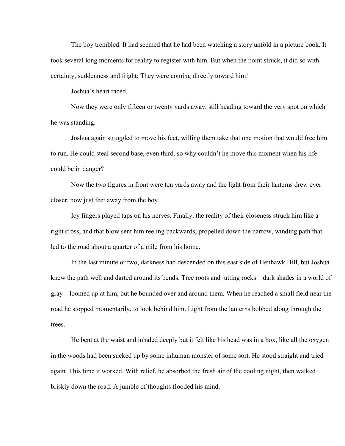The boy trembled. It had seemed that he had been watching a story unfold in a picture book. It took several long moments for reality to register with him. But when the point struck, it did so with certainty, suddenness and fright: They were coming directly toward him!

Joshua's heart raced.

Now they were only fifteen or twenty yards away, still heading toward the very spot on which he was standing.

Joshua again struggled to move his feet, willing them take that one motion that would free him to run. He could steal second base, even third, so why couldn't he move this moment when his life could be in danger?

Now the two figures in front were ten yards away and the light from their lanterns drew ever closer, now just feet away from the boy.

Icy fingers played taps on his nerves. Finally, the reality of their closeness struck him like a right cross, and that blow sent him reeling backwards, propelled down the narrow, winding path that led to the road about a quarter of a mile from his home.

In the last minute or two, darkness had descended on this east side of Henhawk Hill, but Joshua knew the path well and darted around its bends. Tree roots and jutting rocks—dark shades in a world of gray—loomed up at him, but he bounded over and around them. When he reached a small field near the road he stopped momentarily, to look behind him. Light from the lanterns bobbed along through the trees.

He bent at the waist and inhaled deeply but it felt like his head was in a box, like all the oxygen in the woods had been sucked up by some inhuman monster of some sort. He stood straight and tried again. This time it worked. With relief, he absorbed the fresh air of the cooling night, then walked briskly down the road. A jumble of thoughts flooded his mind.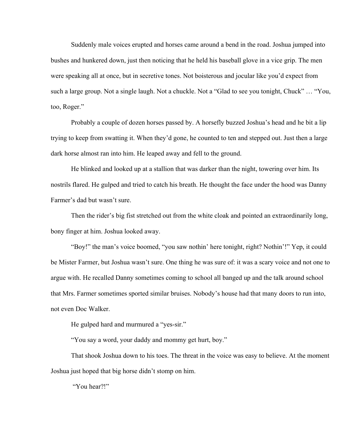Suddenly male voices erupted and horses came around a bend in the road. Joshua jumped into bushes and hunkered down, just then noticing that he held his baseball glove in a vice grip. The men were speaking all at once, but in secretive tones. Not boisterous and jocular like you'd expect from such a large group. Not a single laugh. Not a chuckle. Not a "Glad to see you tonight, Chuck" … "You, too, Roger."

Probably a couple of dozen horses passed by. A horsefly buzzed Joshua's head and he bit a lip trying to keep from swatting it. When they'd gone, he counted to ten and stepped out. Just then a large dark horse almost ran into him. He leaped away and fell to the ground.

He blinked and looked up at a stallion that was darker than the night, towering over him. Its nostrils flared. He gulped and tried to catch his breath. He thought the face under the hood was Danny Farmer's dad but wasn't sure.

Then the rider's big fist stretched out from the white cloak and pointed an extraordinarily long, bony finger at him. Joshua looked away.

"Boy!" the man's voice boomed, "you saw nothin' here tonight, right? Nothin'!" Yep, it could be Mister Farmer, but Joshua wasn't sure. One thing he was sure of: it was a scary voice and not one to argue with. He recalled Danny sometimes coming to school all banged up and the talk around school that Mrs. Farmer sometimes sported similar bruises. Nobody's house had that many doors to run into, not even Doc Walker.

He gulped hard and murmured a "yes-sir."

"You say a word, your daddy and mommy get hurt, boy."

That shook Joshua down to his toes. The threat in the voice was easy to believe. At the moment Joshua just hoped that big horse didn't stomp on him.

"You hear?!"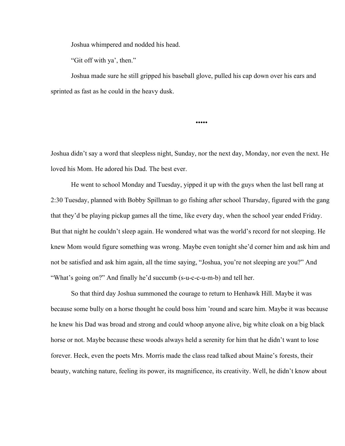Joshua whimpered and nodded his head.

"Git off with ya', then."

Joshua made sure he still gripped his baseball glove, pulled his cap down over his ears and sprinted as fast as he could in the heavy dusk.

•••••

Joshua didn't say a word that sleepless night, Sunday, nor the next day, Monday, nor even the next. He loved his Mom. He adored his Dad. The best ever.

He went to school Monday and Tuesday, yipped it up with the guys when the last bell rang at 2:30 Tuesday, planned with Bobby Spillman to go fishing after school Thursday, figured with the gang that they'd be playing pickup games all the time, like every day, when the school year ended Friday. But that night he couldn't sleep again. He wondered what was the world's record for not sleeping. He knew Mom would figure something was wrong. Maybe even tonight she'd corner him and ask him and not be satisfied and ask him again, all the time saying, "Joshua, you're not sleeping are you?" And "What's going on?" And finally he'd succumb (s-u-c-c-u-m-b) and tell her.

So that third day Joshua summoned the courage to return to Henhawk Hill. Maybe it was because some bully on a horse thought he could boss him 'round and scare him. Maybe it was because he knew his Dad was broad and strong and could whoop anyone alive, big white cloak on a big black horse or not. Maybe because these woods always held a serenity for him that he didn't want to lose forever. Heck, even the poets Mrs. Morris made the class read talked about Maine's forests, their beauty, watching nature, feeling its power, its magnificence, its creativity. Well, he didn't know about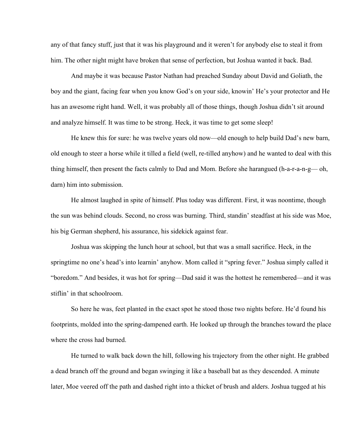any of that fancy stuff, just that it was his playground and it weren't for anybody else to steal it from him. The other night might have broken that sense of perfection, but Joshua wanted it back. Bad.

And maybe it was because Pastor Nathan had preached Sunday about David and Goliath, the boy and the giant, facing fear when you know God's on your side, knowin' He's your protector and He has an awesome right hand. Well, it was probably all of those things, though Joshua didn't sit around and analyze himself. It was time to be strong. Heck, it was time to get some sleep!

He knew this for sure: he was twelve years old now—old enough to help build Dad's new barn, old enough to steer a horse while it tilled a field (well, re-tilled anyhow) and he wanted to deal with this thing himself, then present the facts calmly to Dad and Mom. Before she harangued (h-a-r-a-n-g— oh, darn) him into submission.

He almost laughed in spite of himself. Plus today was different. First, it was noontime, though the sun was behind clouds. Second, no cross was burning. Third, standin' steadfast at his side was Moe, his big German shepherd, his assurance, his sidekick against fear.

Joshua was skipping the lunch hour at school, but that was a small sacrifice. Heck, in the springtime no one's head's into learnin' anyhow. Mom called it "spring fever." Joshua simply called it "boredom." And besides, it was hot for spring—Dad said it was the hottest he remembered—and it was stiflin' in that schoolroom.

So here he was, feet planted in the exact spot he stood those two nights before. He'd found his footprints, molded into the spring-dampened earth. He looked up through the branches toward the place where the cross had burned.

He turned to walk back down the hill, following his trajectory from the other night. He grabbed a dead branch off the ground and began swinging it like a baseball bat as they descended. A minute later, Moe veered off the path and dashed right into a thicket of brush and alders. Joshua tugged at his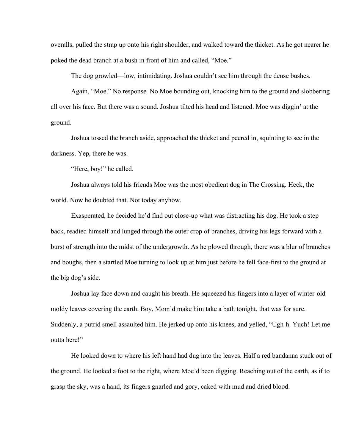overalls, pulled the strap up onto his right shoulder, and walked toward the thicket. As he got nearer he poked the dead branch at a bush in front of him and called, "Moe."

The dog growled—low, intimidating. Joshua couldn't see him through the dense bushes.

Again, "Moe." No response. No Moe bounding out, knocking him to the ground and slobbering all over his face. But there was a sound. Joshua tilted his head and listened. Moe was diggin' at the ground.

Joshua tossed the branch aside, approached the thicket and peered in, squinting to see in the darkness. Yep, there he was.

"Here, boy!" he called.

Joshua always told his friends Moe was the most obedient dog in The Crossing. Heck, the world. Now he doubted that. Not today anyhow.

Exasperated, he decided he'd find out close-up what was distracting his dog. He took a step back, readied himself and lunged through the outer crop of branches, driving his legs forward with a burst of strength into the midst of the undergrowth. As he plowed through, there was a blur of branches and boughs, then a startled Moe turning to look up at him just before he fell face-first to the ground at the big dog's side.

Joshua lay face down and caught his breath. He squeezed his fingers into a layer of winter-old moldy leaves covering the earth. Boy, Mom'd make him take a bath tonight, that was for sure. Suddenly, a putrid smell assaulted him. He jerked up onto his knees, and yelled, "Ugh-h. Yuch! Let me outta here!"

He looked down to where his left hand had dug into the leaves. Half a red bandanna stuck out of the ground. He looked a foot to the right, where Moe'd been digging. Reaching out of the earth, as if to grasp the sky, was a hand, its fingers gnarled and gory, caked with mud and dried blood.